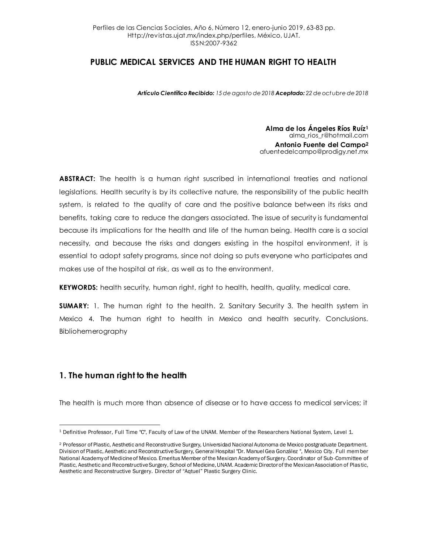*Artículo Científico Recibido: 15 de agosto de 2018 Aceptado: 22 de octubre de 2018*

**Alma de los Ángeles Ríos Ruíz<sup>1</sup>** alma\_rios\_r@hotmail.com **Antonio Fuente del Campo<sup>2</sup>** afuentedelcampo@prodigy.net.mx

**ABSTRACT:** The health is a human right suscribed in international treaties and national legislations. Health security is by its collective nature, the responsibility of the public health system, is related to the quality of care and the positive balance between its risks and benefits, taking care to reduce the dangers associated. The issue of security is fundamental because its implications for the health and life of the human being. Health care is a social necessity, and because the risks and dangers existing in the hospital environment, it is essential to adopt safety programs, since not doing so puts everyone who participates and makes use of the hospital at risk, as well as to the environment.

**KEYWORDS:** health security, human right, right to health, health, quality, medical care.

**SUMARY:** 1. The human right to the health. 2. Sanitary Security 3. The health system in Mexico 4. The human right to health in Mexico and health security. Conclusions. Bibliohemerography

# **1. The human right to the health**

The health is much more than absence of disease or to have access to medical services; it

 $\ddot{\phantom{a}}$ <sup>1</sup> Definitive Professor, Full Time "C", Faculty of Law of the UNAM. Member of the Researchers National System, Level 1.

<sup>&</sup>lt;sup>2</sup> Professor of Plastic, Aesthetic and Reconstructive Surgery, Universidad Nacional Autonoma de Mexico postgraduate Department. Division of Plastic, Aesthetic and Reconstructive Surgery, General Hospital "Dr. Manuel Gea González ", Mexico City. Full member National Academy of Medicine of Mexico. Emeritus Member of the Mexican Academy of Surgery. Coordinator of Sub-Committee of Plastic, Aesthetic and Reconstructive Surgery, School of Medicine, UNAM. Academic Director of the Mexican Association of Plastic, Aesthetic and Reconstructive Surgery. Director of "Aqtuel" Plastic Surgery Clinic.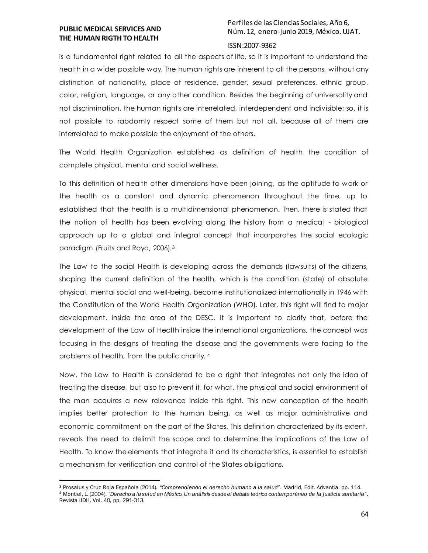$\ddot{\phantom{a}}$ 

# Perfiles de las Ciencias Sociales, Año 6, Núm. 12, enero-junio 2019, México. UJAT.

#### ISSN:2007-9362

is a fundamental right related to all the aspects of life, so it is important to understand the health in a wider possible way. The human rights are inherent to all the persons, without any distinction of nationality, place of residence, gender, sexual preferences, ethnic group, color, religion, language, or any other condition. Besides the beginning of universality and not discrimination, the human rights are interrelated, interdependent and indivisible; so, it is not possible to rabdomly respect some of them but not all, because all of them are interrelated to make possible the enjoyment of the others.

The World Health Organization established as definition of health the condition of complete physical, mental and social wellness.

To this definition of health other dimensions have been joining, as the aptitude to work or the health as a constant and dynamic phenomenon throughout the time, up to established that the health is a multidimensional phenomenon. Then, there is stated that the notion of health has been evolving along the history from a medical - biological approach up to a global and integral concept that incorporates the social ecologic paradigm (Fruits and Royo, 2006).<sup>3</sup>

The Law to the social Health is developing across the demands (lawsuits) of the citizens, shaping the current definition of the health, which is the condition (state) of absolute physical, mental social and well-being, become institutionalized internationally in 1946 with the Constitution of the World Health Organization (WHO). Later, this right will find to major development, inside the area of the DESC. It is important to clarify that, before the development of the Law of Health inside the international organizations, the concept was focusing in the designs of treating the disease and the governments were facing to the problems of health, from the public charity. <sup>4</sup>

Now, the Law to Health is considered to be a right that integrates not only the idea of treating the disease, but also to prevent it, for what, the physical and social environment of the man acquires a new relevance inside this right. This new conception of the health implies better protection to the human being, as well as major administrative and economic commitment on the part of the States. This definition characterized by its extent, reveals the need to delimit the scope and to determine the implications of the Law of Health. To know the elements that integrate it and its characteristics, is essential to establish a mechanism for verification and control of the States obligations.

<sup>3</sup> Prosalus y Cruz Roja Española (2014). *"Comprendiendo el derecho humano a la salud"*. Madrid, Edit. Advantia, pp. 114. <sup>4</sup> Montiel, L. (2004). *"Derecho a la salud en México. Un análisis desde el debate teórico contemporáneo de la justicia sanitaria"*. Revista IIDH, Vol. 40, pp. 291-313.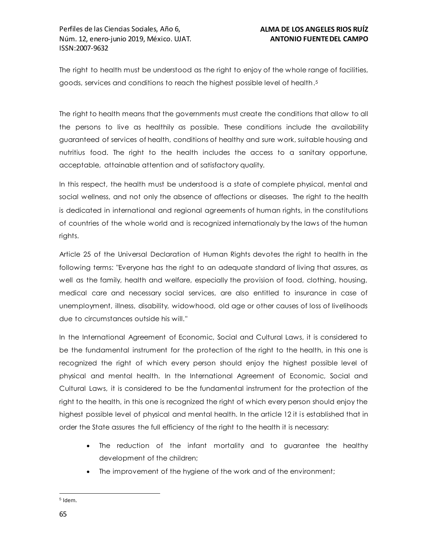The right to health must be understood as the right to enjoy of the whole range of facilities, goods, services and conditions to reach the highest possible level of health. 5

The right to health means that the governments must create the conditions that allow to all the persons to live as healthily as possible. These conditions include the availability guaranteed of services of health, conditions of healthy and sure work, suitable housing and nutritius food. The right to the health includes the access to a sanitary opportune, acceptable, attainable attention and of satisfactory quality.

In this respect, the health must be understood is a state of complete physical, mental and social wellness, and not only the absence of affections or diseases. The right to the health is dedicated in international and regional agreements of human rights, in the constitutions of countries of the whole world and is recognized internationaly by the laws of the human rights.

Article 25 of the Universal Declaration of Human Rights devotes the right to health in the following terms: "Everyone has the right to an adequate standard of living that assures, as well as the family, health and welfare, especially the provision of food, clothing, housing, medical care and necessary social services, are also entitled to insurance in case of unemployment, illness, disability, widowhood, old age or other causes of loss of livelihoods due to circumstances outside his will."

In the International Agreement of Economic, Social and Cultural Laws, it is considered to be the fundamental instrument for the protection of the right to the health, in this one is recognized the right of which every person should enjoy the highest possible level of physical and mental health. In the International Agreement of Economic, Social and Cultural Laws, it is considered to be the fundamental instrument for the protection of the right to the health, in this one is recognized the right of which every person should enjoy the highest possible level of physical and mental health. In the article 12 it is established that in order the State assures the full efficiency of the right to the health it is necessary:

- The reduction of the infant mortality and to guarantee the healthy development of the children;
- The improvement of the hygiene of the work and of the environment;

 $\ddot{\phantom{a}}$ <sup>5</sup> Idem.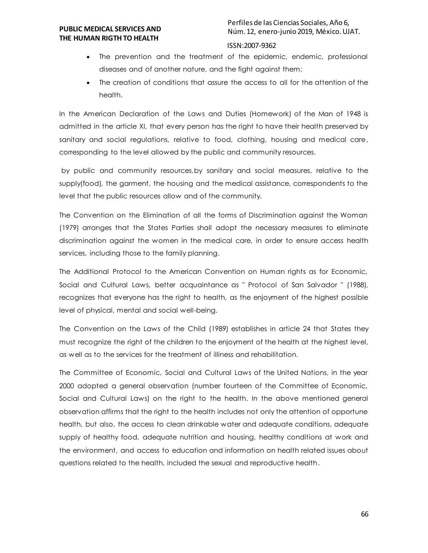Perfiles de las Ciencias Sociales, Año 6, Núm. 12, enero-junio 2019, México. UJAT.

### ISSN:2007-9362

- The prevention and the treatment of the epidemic, endemic, professional diseases and of another nature, and the fight against them;
- The creation of conditions that assure the access to all for the attention of the health.

In the American Declaration of the Laws and Duties (Homework) of the Man of 1948 is admitted in the article XI, that every person has the right to have their health preserved by sanitary and social regulations, relative to food, clothing, housing and medical care, corresponding to the level allowed by the public and community resources.

by public and community resources.by sanitary and social measures, relative to the supply(food), the garment, the housing and the medical assistance, correspondents to the level that the public resources allow and of the community.

The Convention on the Elimination of all the forms of Discrimination against the Woman (1979) arranges that the States Parties shall adopt the necessary measures to eliminate discrimination against the women in the medical care, in order to ensure access health services, including those to the family planning.

The Additional Protocol to the American Convention on Human rights as for Economic, Social and Cultural Laws, better acquaintance as " Protocol of San Salvador " (1988), recognizes that everyone has the right to health, as the enjoyment of the highest possible level of physical, mental and social well-being.

The Convention on the Laws of the Child (1989) establishes in article 24 that States they must recognize the right of the children to the enjoyment of the health at the highest level, as well as to the services for the treatment of illiness and rehabilitation.

The Committee of Economic, Social and Cultural Laws of the United Nations, in the year 2000 adopted a general observation (number fourteen of the Committee of Economic, Social and Cultural Laws) on the right to the health. In the above mentioned general observation affirms that the right to the health includes not only the attention of opportune health, but also, the access to clean drinkable water and adequate conditions, adequate supply of healthy food, adequate nutrition and housing, healthy conditions at work and the environment, and access to education and information on health related issues about questions related to the health, included the sexual and reproductive health.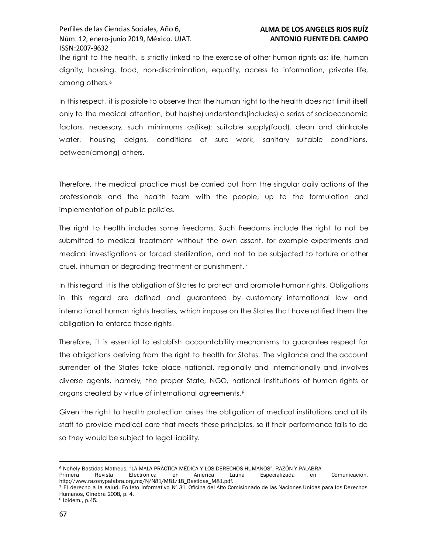The right to the health, is strictly linked to the exercise of other human rights as; life, human dignity, housing, food, non-discrimination, equality, access to information, private life, among others.<sup>6</sup>

In this respect, it is possible to observe that the human right to the health does not limit itself only to the medical attention, but he(she) understands(includes) a series of socioeconomic factors, necessary, such minimums as(like): suitable supply(food), clean and drinkable water, housing deigns, conditions of sure work, sanitary suitable conditions, between(among) others.

Therefore, the medical practice must be carried out from the singular daily actions of the professionals and the health team with the people, up to the formulation and implementation of public policies.

The right to health includes some freedoms. Such freedoms include the right to not be submitted to medical treatment without the own assent, for example experiments and medical investigations or forced sterilization, and not to be subjected to torture or other cruel, inhuman or degrading treatment or punishment. <sup>7</sup>

In this regard, it is the obligation of States to protect and promote human rights. Obligations in this regard are defined and guaranteed by customary international law and international human rights treaties, which impose on the States that have ratified them the obligation to enforce those rights.

Therefore, it is essential to establish accountability mechanisms to guarantee respect for the obligations deriving from the right to health for States. The vigilance and the account surrender of the States take place national, regionally and internationally and involves diverse agents, namely, the proper State, NGO, national institutions of human rights or organs created by virtue of international agreements. <sup>8</sup>

Given the right to health protection arises the obligation of medical institutions and all its staff to provide medical care that meets these principles, so if their performance fails to do so they would be subject to legal liability.

 $\ddot{\phantom{a}}$ <sup>6</sup> Nohely Bastidas Matheus, "LA MALA PRÁCTICA MÉDICA Y LOS DERECHOS HUMANOS", RAZÓN Y PALABRA

Primera Revista Electrónica en América Latina Especializada en Comunicación, http://www.razonypalabra.org.mx/N/N81/M81/18\_Bastidas\_M81.pdf.

<sup>7</sup> El derecho a la salud, Folleto informativo Nº 31, Oficina del Alto Comisionado de las Naciones Unidas para los Derechos Humanos, Ginebra 2008, p. 4.

<sup>8</sup> Ibídem., p.45.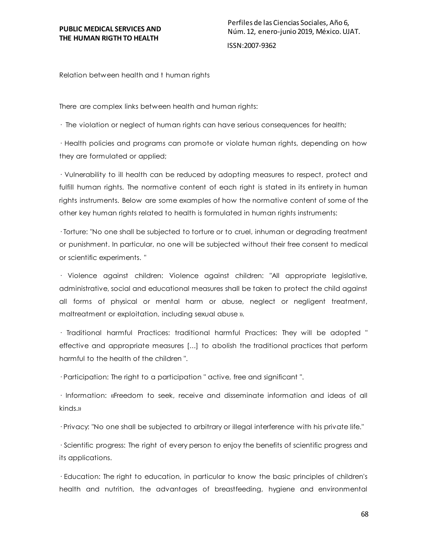Relation between health and t human rights

There are complex links between health and human rights:

· The violation or neglect of human rights can have serious consequences for health;

· Health policies and programs can promote or violate human rights, depending on how they are formulated or applied;

· Vulnerability to ill health can be reduced by adopting measures to respect, protect and fulfill human rights. The normative content of each right is stated in its entirety in human rights instruments. Below are some examples of how the normative content of some of the other key human rights related to health is formulated in human rights instruments:

· Torture: "No one shall be subjected to torture or to cruel, inhuman or degrading treatment or punishment. In particular, no one will be subjected without their free consent to medical or scientific experiments. "

· Violence against children: Violence against children: "All appropriate legislative, administrative, social and educational measures shall be taken to protect the child against all forms of physical or mental harm or abuse, neglect or negligent treatment, maltreatment or exploitation, including sexual abuse ».

· Traditional harmful Practices: traditional harmful Practices: They will be adopted " effective and appropriate measures [...] to abolish the traditional practices that perform harmful to the health of the children ".

· Participation: The right to a participation " active, free and significant ".

· Information: «Freedom to seek, receive and disseminate information and ideas of all kinds.»

· Privacy: "No one shall be subjected to arbitrary or illegal interference with his private life."

· Scientific progress: The right of every person to enjoy the benefits of scientific progress and its applications.

· Education: The right to education, in particular to know the basic principles of children's health and nutrition, the advantages of breastfeeding, hygiene and environmental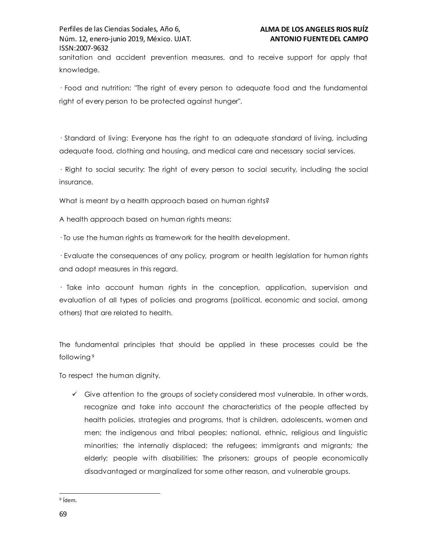sanitation and accident prevention measures, and to receive support for apply that knowledge.

· Food and nutrition: "The right of every person to adequate food and the fundamental right of every person to be protected against hunger".

· Standard of living: Everyone has the right to an adequate standard of living, including adequate food, clothing and housing, and medical care and necessary social services.

· Right to social security: The right of every person to social security, including the social insurance.

What is meant by a health approach based on human rights?

A health approach based on human rights means:

· To use the human rights as framework for the health development.

· Evaluate the consequences of any policy, program or health legislation for human rights and adopt measures in this regard.

· Take into account human rights in the conception, application, supervision and evaluation of all types of policies and programs (political, economic and social, among others) that are related to health.

The fundamental principles that should be applied in these processes could be the following <sup>9</sup>

To respect the human dignity.

 $\checkmark$  Give attention to the groups of society considered most vulnerable. In other words, recognize and take into account the characteristics of the people affected by health policies, strategies and programs, that is children, adolescents, women and men; the indigenous and tribal peoples; national, ethnic, religious and linguistic minorities; the internally displaced; the refugees; immigrants and migrants; the elderly; people with disabilities; The prisoners; groups of people economically disadvantaged or marginalized for some other reason, and vulnerable groups.

 $\ddot{\phantom{a}}$ <sup>9</sup> Ídem.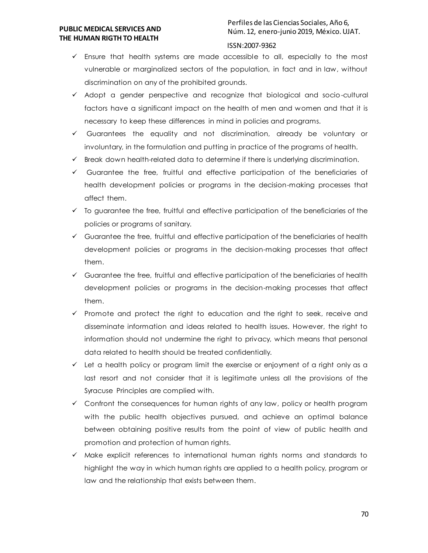# Perfiles de las Ciencias Sociales, Año 6, Núm. 12, enero-junio 2019, México. UJAT.

#### ISSN:2007-9362

- Ensure that health systems are made accessible to all, especially to the most vulnerable or marginalized sectors of the population, in fact and in law, without discrimination on any of the prohibited grounds.
- Adopt a gender perspective and recognize that biological and socio-cultural factors have a significant impact on the health of men and women and that it is necessary to keep these differences in mind in policies and programs.
- $\checkmark$  Guarantees the equality and not discrimination, already be voluntary or involuntary, in the formulation and putting in practice of the programs of health.
- $\checkmark$  Break down health-related data to determine if there is underlying discrimination.
- $\checkmark$  Guarantee the free, fruitful and effective participation of the beneficiaries of health development policies or programs in the decision-making processes that affect them.
- $\checkmark$  To guarantee the free, fruitful and effective participation of the beneficiaries of the policies or programs of sanitary.
- $\checkmark$  Guarantee the free, fruitful and effective participation of the beneficiaries of health development policies or programs in the decision-making processes that affect them.
- $\checkmark$  Guarantee the free, fruitful and effective participation of the beneficiaries of health development policies or programs in the decision-making processes that affect them.
- $\checkmark$  Promote and protect the right to education and the right to seek, receive and disseminate information and ideas related to health issues. However, the right to information should not undermine the right to privacy, which means that personal data related to health should be treated confidentially.
- $\checkmark$  Let a health policy or program limit the exercise or enjoyment of a right only as a last resort and not consider that it is legitimate unless all the provisions of the Syracuse Principles are complied with.
- $\checkmark$  Confront the consequences for human rights of any law, policy or health program with the public health objectives pursued, and achieve an optimal balance between obtaining positive results from the point of view of public health and promotion and protection of human rights.
- $\checkmark$  Make explicit references to international human rights norms and standards to highlight the way in which human rights are applied to a health policy, program or law and the relationship that exists between them.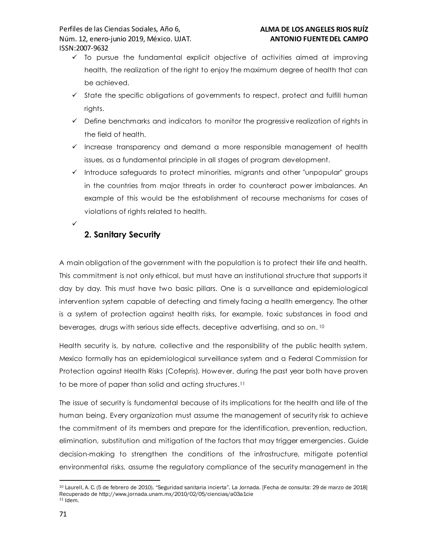- $\checkmark$  To pursue the fundamental explicit objective of activities aimed at improving health, the realization of the right to enjoy the maximum degree of health that can be achieved.
- $\checkmark$  State the specific obligations of governments to respect, protect and fulfill human rights.
- $\checkmark$  Define benchmarks and indicators to monitor the progressive realization of rights in the field of health.
- $\checkmark$  Increase transparency and demand a more responsible management of health issues, as a fundamental principle in all stages of program development.
- $\checkmark$  Introduce safeguards to protect minorities, migrants and other "unpopular" groups in the countries from major threats in order to counteract power imbalances. An example of this would be the establishment of recourse mechanisms for cases of violations of rights related to health.
	- **2. Sanitary Security**

 $\checkmark$ 

A main obligation of the government with the population is to protect their life and health. This commitment is not only ethical, but must have an institutional structure that supports it day by day. This must have two basic pillars. One is a surveillance and epidemiological intervention system capable of detecting and timely facing a health emergency. The other is a system of protection against health risks, for example, toxic substances in food and beverages, drugs with serious side effects, deceptive advertising, and so on. 10

Health security is, by nature, collective and the responsibility of the public health system. Mexico formally has an epidemiological surveillance system and a Federal Commission for Protection against Health Risks (Cofepris). However, during the past year both have proven to be more of paper than solid and acting structures. 11

The issue of security is fundamental because of its implications for the health and life of the human being. Every organization must assume the management of security risk to achieve the commitment of its members and prepare for the identification, prevention, reduction, elimination, substitution and mitigation of the factors that may trigger emergencies. Guide decision-making to strengthen the conditions of the infrastructure, mitigate potential environmental risks, assume the regulatory compliance of the security management in the

 $\ddot{\phantom{a}}$ <sup>10</sup> Laurell, A. C. (5 de febrero de 2010). "Seguridad sanitaria incierta". La Jornada. [Fecha de consulta: 29 de marzo de 2018] Recuperado de http://www.jornada.unam.mx/2010/02/05/ciencias/a03a1cie <sup>11</sup> Idem.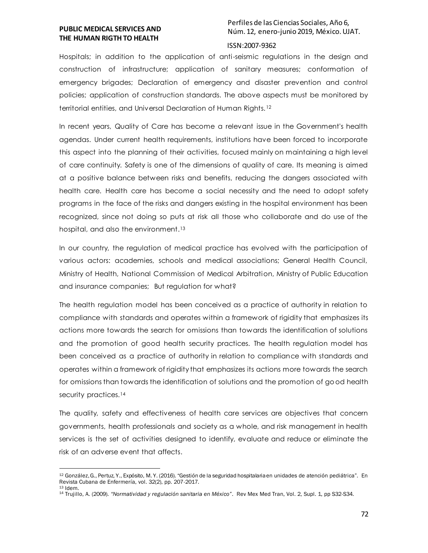$\ddot{\phantom{a}}$ 

# Perfiles de las Ciencias Sociales, Año 6, Núm. 12, enero-junio 2019, México. UJAT.

#### ISSN:2007-9362

Hospitals; in addition to the application of anti-seismic regulations in the design and construction of infrastructure; application of sanitary measures; conformation of emergency brigades; Declaration of emergency and disaster prevention and control policies; application of construction standards. The above aspects must be monitored by territorial entities, and Universal Declaration of Human Rights.<sup>12</sup>

In recent years, Quality of Care has become a relevant issue in the Government's health agendas. Under current health requirements, institutions have been forced to incorporate this aspect into the planning of their activities, focused mainly on maintaining a high level of care continuity. Safety is one of the dimensions of quality of care. Its meaning is aimed at a positive balance between risks and benefits, reducing the dangers associated with health care. Health care has become a social necessity and the need to adopt safety programs in the face of the risks and dangers existing in the hospital environment has been recognized, since not doing so puts at risk all those who collaborate and do use of the hospital, and also the environment. <sup>13</sup>

In our country, the regulation of medical practice has evolved with the participation of various actors: academies, schools and medical associations; General Health Council, Ministry of Health, National Commission of Medical Arbitration, Ministry of Public Education and insurance companies; But regulation for what?

The health regulation model has been conceived as a practice of authority in relation to compliance with standards and operates within a framework of rigidity that emphasizes its actions more towards the search for omissions than towards the identification of solutions and the promotion of good health security practices. The health regulation model has been conceived as a practice of authority in relation to compliance with standards and operates within a framework of rigidity that emphasizes its actions more towards the search for omissions than towards the identification of solutions and the promotion of good health security practices.<sup>14</sup>

The quality, safety and effectiveness of health care services are objectives that concern governments, health professionals and society as a whole, and risk management in health services is the set of activities designed to identify, evaluate and reduce or eliminate the risk of an adverse event that affects.

<sup>12</sup> González, G., Pertuz, Y., Expósito, M. Y. (2016). "Gestión de la seguridad hospitalaria en unidades de atención pediátrica". En Revista Cubana de Enfermería, vol. 32(2), pp. 207-2017. <sup>13</sup> Idem.

<sup>14</sup> Trujillo, A. (2009). *"Normatividad y regulación sanitaria en México"*. Rev Mex Med Tran, Vol. 2, Supl. 1, pp S32-S34.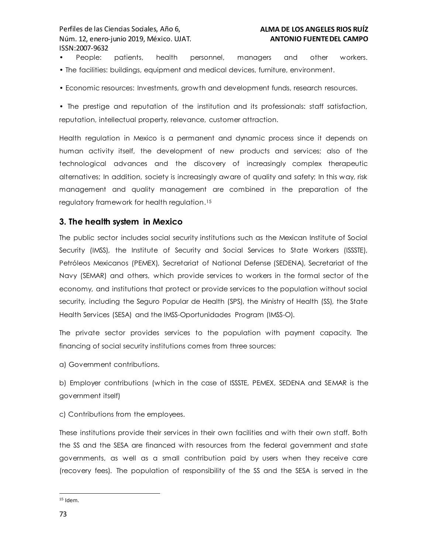- People: patients, health personnel, managers and other workers. • The facilities: buildings, equipment and medical devices, furniture, environment.
- Economic resources: Investments, growth and development funds, research resources.

• The prestige and reputation of the institution and its professionals: staff satisfaction, reputation, intellectual property, relevance, customer attraction.

Health regulation in Mexico is a permanent and dynamic process since it depends on human activity itself, the development of new products and services; also of the technological advances and the discovery of increasingly complex therapeutic alternatives; In addition, society is increasingly aware of quality and safety; In this way, risk management and quality management are combined in the preparation of the regulatory framework for health regulation. 15

# **3. The health system in Mexico**

The public sector includes social security institutions such as the Mexican Institute of Social Security (IMSS), the Institute of Security and Social Services to State Workers (ISSSTE), Petróleos Mexicanos (PEMEX), Secretariat of National Defense (SEDENA), Secretariat of the Navy (SEMAR) and others, which provide services to workers in the formal sector of the economy, and institutions that protect or provide services to the population without social security, including the Seguro Popular de Health (SPS), the Ministry of Health (SS), the State Health Services (SESA) and the IMSS-Oportunidades Program (IMSS-O).

The private sector provides services to the population with payment capacity. The financing of social security institutions comes from three sources:

a) Government contributions.

b) Employer contributions (which in the case of ISSSTE, PEMEX, SEDENA and SEMAR is the government itself)

c) Contributions from the employees.

These institutions provide their services in their own facilities and with their own staff. Both the SS and the SESA are financed with resources from the federal government and state governments, as well as a small contribution paid by users when they receive care (recovery fees). The population of responsibility of the SS and the SESA is served in the

 $\ddot{\phantom{a}}$  $15$  Idem.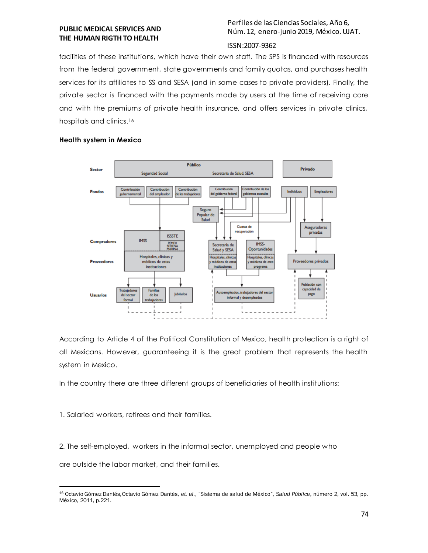Perfiles de las Ciencias Sociales, Año 6, Núm. 12, enero-junio 2019, México. UJAT.

#### ISSN:2007-9362

facilities of these institutions, which have their own staff. The SPS is financed with resources from the federal government, state governments and family quotas, and purchases health services for its affiliates to SS and SESA (and in some cases to private providers). Finally, the private sector is financed with the payments made by users at the time of receiving care and with the premiums of private health insurance, and offers services in private clinics, hospitals and clinics. 16

#### **Health system in Mexico**



According to Article 4 of the Political Constitution of Mexico, health protection is a right of all Mexicans. However, guaranteeing it is the great problem that represents the health system in Mexico.

In the country there are three different groups of beneficiaries of health institutions:

1. Salaried workers, retirees and their families.

2. The self-employed, workers in the informal sector, unemployed and people who

are outside the labor market, and their families.

 $\ddot{\phantom{a}}$ <sup>16</sup> Octavio Gómez Dantés, Octavio Gómez Dantés, *et. al.*, "Sistema de salud de México", *Salud Pública*, número 2, vol. 53, pp. México, 2011, p.221.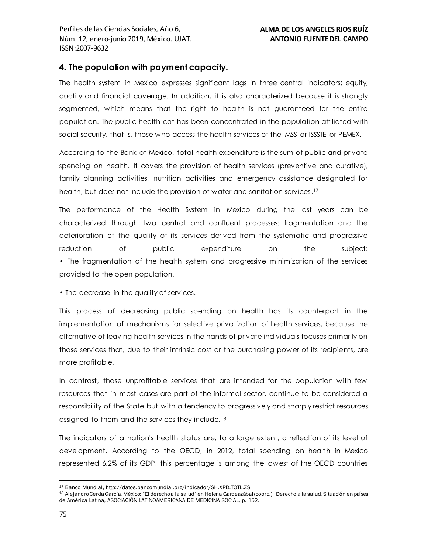# **4. The population with payment capacity.**

The health system in Mexico expresses significant lags in three central indicators: equity, quality and financial coverage. In addition, it is also characterized because it is strongly segmented, which means that the right to health is not guaranteed for the entire population. The public health cat has been concentrated in the population affiliated with social security, that is, those who access the health services of the IMSS or ISSSTE or PEMEX.

According to the Bank of Mexico, total health expenditure is the sum of public and private spending on health. It covers the provision of health services (preventive and curative), family planning activities, nutrition activities and emergency assistance designated for health, but does not include the provision of water and sanitation services. 17

The performance of the Health System in Mexico during the last years can be characterized through two central and confluent processes: fragmentation and the deterioration of the quality of its services derived from the systematic and progressive reduction of public expenditure on the subject: • The fragmentation of the health system and progressive minimization of the services provided to the open population.

• The decrease in the quality of services.

This process of decreasing public spending on health has its counterpart in the implementation of mechanisms for selective privatization of health services, because the alternative of leaving health services in the hands of private individuals focuses primarily on those services that, due to their intrinsic cost or the purchasing power of its recipients, are more profitable.

In contrast, those unprofitable services that are intended for the population with few resources that in most cases are part of the informal sector, continue to be considered a responsibility of the State but with a tendency to progressively and sharply restrict resources assigned to them and the services they include.<sup>18</sup>

The indicators of a nation's health status are, to a large extent, a reflection of its level of development. According to the OECD, in 2012, total spending on health in Mexico represented 6.2% of its GDP, this percentage is among the lowest of the OECD countries

 $\ddot{\phantom{a}}$ <sup>17</sup> Banco Mundial, http://datos.bancomundial.org/indicador/SH.XPD.TOTL.ZS

<sup>18</sup> Alejandro Cerda García, México: "El derecho a la salud" en Helena Gardeazábal (coord.), Derecho a la salud. Situación en países de América Latina, ASOCIACIÓN LATINOAMERICANA DE MEDICINA SOCIAL, p. 152.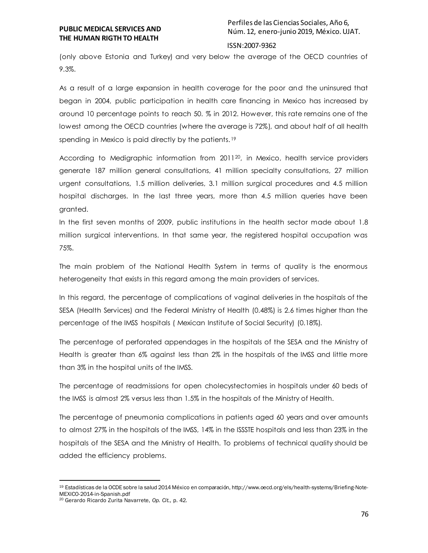#### ISSN:2007-9362

(only above Estonia and Turkey) and very below the average of the OECD countries of 9.3%.

As a result of a large expansion in health coverage for the poor and the uninsured that began in 2004, public participation in health care financing in Mexico has increased by around 10 percentage points to reach 50. % in 2012. However, this rate remains one of the lowest among the OECD countries (where the average is 72%), and about half of all health spending in Mexico is paid directly by the patients.<sup>19</sup>

According to Medigraphic information from 201120, in Mexico, health service providers generate 187 million general consultations, 41 million specialty consultations, 27 million urgent consultations, 1.5 million deliveries, 3.1 million surgical procedures and 4.5 million hospital discharges. In the last three years, more than 4.5 million queries have been granted.

In the first seven months of 2009, public institutions in the health sector made about 1.8 million surgical interventions. In that same year, the registered hospital occupation was 75%.

The main problem of the National Health System in terms of quality is the enormous heterogeneity that exists in this regard among the main providers of services.

In this regard, the percentage of complications of vaginal deliveries in the hospitals of the SESA (Health Services) and the Federal Ministry of Health (0.48%) is 2.6 times higher than the percentage of the IMSS hospitals ( Mexican Institute of Social Security) (0.18%).

The percentage of perforated appendages in the hospitals of the SESA and the Ministry of Health is greater than 6% against less than 2% in the hospitals of the IMSS and little more than 3% in the hospital units of the IMSS.

The percentage of readmissions for open cholecystectomies in hospitals under 60 beds of the IMSS is almost 2% versus less than 1.5% in the hospitals of the Ministry of Health.

The percentage of pneumonia complications in patients aged 60 years and over amounts to almost 27% in the hospitals of the IMSS, 14% in the ISSSTE hospitals and less than 23% in the hospitals of the SESA and the Ministry of Health. To problems of technical quality should be added the efficiency problems.

 $\ddot{\phantom{a}}$ 

<sup>19</sup> Estadísticas de la OCDE sobre la salud 2014 México en comparación, http://www.oecd.org/els/health-systems/Briefing-Note-MEXICO-2014-in-Spanish.pdf

<sup>20</sup> Gerardo Ricardo Zurita Navarrete, *Op. Cit.,* p. 42.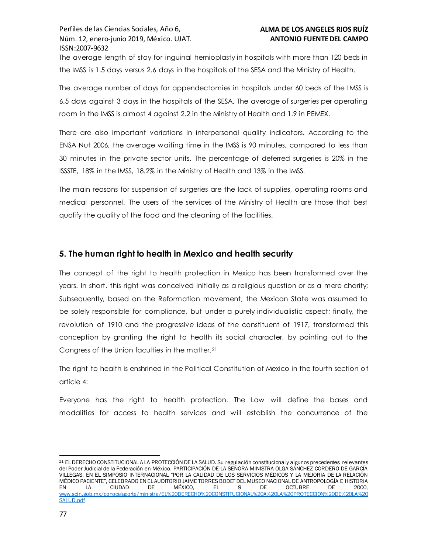The average length of stay for inguinal hernioplasty in hospitals with more than 120 beds in the IMSS is 1.5 days versus 2.6 days in the hospitals of the SESA and the Ministry of Health.

The average number of days for appendectomies in hospitals under 60 beds of the IMSS is 6.5 days against 3 days in the hospitals of the SESA. The average of surgeries per operating room in the IMSS is almost 4 against 2.2 in the Ministry of Health and 1.9 in PEMEX.

There are also important variations in interpersonal quality indicators. According to the ENSA Nut 2006, the average waiting time in the IMSS is 90 minutes, compared to less than 30 minutes in the private sector units. The percentage of deferred surgeries is 20% in the ISSSTE, 18% in the IMSS, 18.2% in the Ministry of Health and 13% in the IMSS.

The main reasons for suspension of surgeries are the lack of supplies, operating rooms and medical personnel. The users of the services of the Ministry of Health are those that best qualify the quality of the food and the cleaning of the facilities.

# **5. The human right to health in Mexico and health security**

The concept of the right to health protection in Mexico has been transformed over the years. In short, this right was conceived initially as a religious question or as a mere charity; Subsequently, based on the Reformation movement, the Mexican State was assumed to be solely responsible for compliance, but under a purely individualistic aspect; finally, the revolution of 1910 and the progressive ideas of the constituent of 1917, transformed this conception by granting the right to health its social character, by pointing out to the Congress of the Union faculties in the matter.<sup>21</sup>

The right to health is enshrined in the Political Constitution of Mexico in the fourth section o f article 4:

Everyone has the right to health protection. The Law will define the bases and modalities for access to health services and will establish the concurrence of the

 $\ddot{\phantom{a}}$ <sup>21</sup> EL DERECHO CONSTITUCIONAL A LA PROTECCIÓN DE LA SALUD. Su regulación constitucional y algunos precedentes relevantes del Poder Judicial de la Federación en México, PARTICIPACIÓN DE LA SEÑORA MINISTRA OLGA SÁNCHEZ CORDERO DE GARCÍA VILLEGAS, EN EL SIMPOSIO INTERNACIONAL "POR LA CALIDAD DE LOS SERVICIOS MÉDICOS Y LA MEJORÍA DE LA RELACIÓN MÉDICO PACIENTE", CELEBRADO EN EL AUDITORIO JAIME TORRES BODET DEL MUSEO NACIONAL DE ANTROPOLOGÍA E HISTORIA EN LA CIUDAD DE MÉXICO, EL 9 DE OCTUBRE DE 2000, [www.scjn.gob.mx/conocelacorte/ministra/EL%20DERECHO%20CONSTITUCIONAL%20A%20LA%20PROTECCION%20DE%20LA%20](http://www.scjn.gob.mx/conocelacorte/ministra/EL%20DERECHO%20CONSTITUCIONAL%20A%20LA%20PROTECCION%20DE%20LA%20SALUD.pdf) [SALUD.pdf](http://www.scjn.gob.mx/conocelacorte/ministra/EL%20DERECHO%20CONSTITUCIONAL%20A%20LA%20PROTECCION%20DE%20LA%20SALUD.pdf)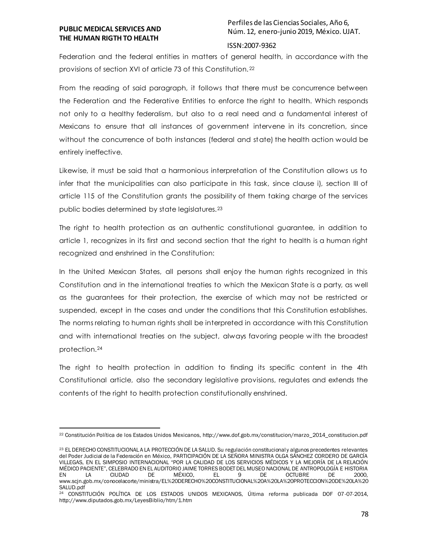Perfiles de las Ciencias Sociales, Año 6, Núm. 12, enero-junio 2019, México. UJAT.

#### ISSN:2007-9362

Federation and the federal entities in matters of general health, in accordance with the provisions of section XVI of article 73 of this Constitution. <sup>22</sup>

From the reading of said paragraph, it follows that there must be concurrence between the Federation and the Federative Entities to enforce the right to health. Which responds not only to a healthy federalism, but also to a real need and a fundamental interest of Mexicans to ensure that all instances of government intervene in its concretion, since without the concurrence of both instances (federal and state) the health action would be entirely ineffective.

Likewise, it must be said that a harmonious interpretation of the Constitution allows us to infer that the municipalities can also participate in this task, since clause i), section III of article 115 of the Constitution grants the possibility of them taking charge of the services public bodies determined by state legislatures.<sup>23</sup>

The right to health protection as an authentic constitutional guarantee, in addition to article 1, recognizes in its first and second section that the right to health is a human right recognized and enshrined in the Constitution:

In the United Mexican States, all persons shall enjoy the human rights recognized in this Constitution and in the international treaties to which the Mexican State is a party, as well as the guarantees for their protection, the exercise of which may not be restricted or suspended, except in the cases and under the conditions that this Constitution establishes. The norms relating to human rights shall be interpreted in accordance with this Constitution and with international treaties on the subject, always favoring people w ith the broadest protection.<sup>24</sup>

The right to health protection in addition to finding its specific content in the 4th Constitutional article, also the secondary legislative provisions, regulates and extends the contents of the right to health protection constitutionally enshrined.

 $\ddot{\phantom{a}}$ <sup>22</sup> Constitución Política de los Estados Unidos Mexicanos, http://www.dof.gob.mx/constitucion/marzo\_2014\_constitucion.pdf

<sup>23</sup> EL DERECHO CONSTITUCIONAL A LA PROTECCIÓN DE LA SALUD. Su regulación constitucional y algunos precedentes relevantes del Poder Judicial de la Federación en México, PARTICIPACIÓN DE LA SEÑORA MINISTRA OLGA SÁNCHEZ CORDERO DE GARCÍA VILLEGAS, EN EL SIMPOSIO INTERNACIONAL "POR LA CALIDAD DE LOS SERVICIOS MÉDICOS Y LA MEJORÍA DE LA RELACIÓN MÉDICO PACIENTE", CELEBRADO EN EL AUDITORIO JAIME TORRES BODET DEL MUSEO NACIONAL DE ANTROPOLOGÍA E HISTORIA EN LA CIUDAD DE MÉXICO, EL 9 DE OCTUBRE DE 2000, www.scjn.gob.mx/conocelacorte/ministra/EL%20DERECHO%20CONSTITUCIONAL%20A%20LA%20PROTECCION%20DE%20LA%20 SALUD.pdf

<sup>24</sup> CONSTITUCIÓN POLÍTICA DE LOS ESTADOS UNIDOS MEXICANOS, Última reforma publicada DOF 07-07-2014, http://www.diputados.gob.mx/LeyesBiblio/htm/1.htm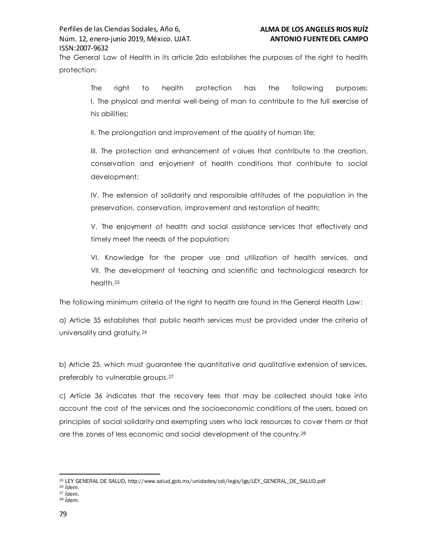The General Law of Health in its article 2do establishes the purposes of the right to health protection:

The right to health protection has the following purposes: I. The physical and mental well-being of man to contribute to the full exercise of his abilities;

II. The prolongation and improvement of the quality of human life;

III. The protection and enhancement of values that contribute to the creation, conservation and enjoyment of health conditions that contribute to social development;

IV. The extension of solidarity and responsible attitudes of the population in the preservation, conservation, improvement and restoration of health;

V. The enjoyment of health and social assistance services that effectively and timely meet the needs of the population;

VI. Knowledge for the proper use and utilization of health services, and VII. The development of teaching and scientific and technological research for health.<sup>25</sup>

The following minimum criteria of the right to health are found in the General Health Law:

a) Article 35 establishes that public health services must be provided under the criteria of universality and gratuity.<sup>26</sup>

b) Article 25, which must guarantee the quantitative and qualitative extension of services, preferably to vulnerable groups.<sup>27</sup>

c) Article 36 indicates that the recovery fees that may be collected should take into account the cost of the services and the socioeconomic conditions of the users, based on principles of social solidarity and exempting users who lack resources to cover t hem or that are the zones of less economic and social development of the country.<sup>28</sup>

- <sup>27</sup> *Ídem.*
- <sup>28</sup> *Ídem.*

 $\ddot{\phantom{a}}$ <sup>25</sup> LEY GENERAL DE SALUD, http://www.salud.gob.mx/unidades/cdi/legis/lgs/LEY\_GENERAL\_DE\_SALUD.pdf

<sup>26</sup> *Ídem.*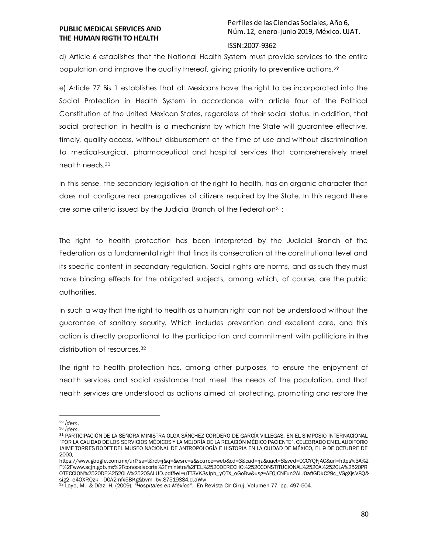# Perfiles de las Ciencias Sociales, Año 6, Núm. 12, enero-junio 2019, México. UJAT.

#### ISSN:2007-9362

d) Article 6 establishes that the National Health System must provide services to the entire population and improve the quality thereof, giving priority to preventive actions.<sup>29</sup>

e) Article 77 Bis 1 establishes that all Mexicans have the right to be incorporated into the Social Protection in Health System in accordance with article four of the Political Constitution of the United Mexican States, regardless of their social status. In addition, that social protection in health is a mechanism by which the State will guarantee effective, timely, quality access, without disbursement at the time of use and without discrimination to medical-surgical, pharmaceutical and hospital services that comprehensively meet health needs.<sup>30</sup>

In this sense, the secondary legislation of the right to health, has an organic character that does not configure real prerogatives of citizens required by the State. In this regard there are some criteria issued by the Judicial Branch of the Federation31:

The right to health protection has been interpreted by the Judicial Branch of the Federation as a fundamental right that finds its consecration at the constitutional level and its specific content in secondary regulation. Social rights are norms, and as such they must have binding effects for the obligated subjects, among which, of course, are the public authorities.

In such a way that the right to health as a human right can not be understood without the guarantee of sanitary security. Which includes prevention and excellent care, and this action is directly proportional to the participation and commitment with politicians in the distribution of resources.<sup>32</sup>

The right to health protection has, among other purposes, to ensure the enjoyment of health services and social assistance that meet the needs of the population, and that health services are understood as actions aimed at protecting, promoting and restore the

 $\ddot{\phantom{a}}$ 

<sup>29</sup> *Ídem.*

<sup>30</sup> *Ídem.*

<sup>31</sup> PARTICIPACIÓN DE LA SEÑORA MINISTRA OLGA SÁNCHEZ CORDERO DE GARCÍA VILLEGAS, EN EL SIMPOSIO INTERNACIONAL "POR LA CALIDAD DE LOS SERVICIOS MÉDICOS Y LA MEJORÍA DE LA RELACIÓN MÉDICO PACIENTE", CELEBRADO EN EL AUDITORIO JAIME TORRES BODET DEL MUSEO NACIONAL DE ANTROPOLOGÍA E HISTORIA EN LA CIUDAD DE MÉXICO, EL 9 DE OCTUBRE DE 2000,

https://www.google.com.mx/url?sa=t&rct=j&q=&esrc=s&source=web&cd=3&cad=rja&uact=8&ved=0CCYQFjAC&url=https%3A%2 F%2Fwww.scjn.gob.mx%2Fconocelacorte%2Fministra%2FEL%2520DERECHO%2520CONSTITUCIONAL%2520A%2520LA%2520PR OTECCION%2520DE%2520LA%2520SALUD.pdf&ei=uTT3VK3sJpb\_yQTX\_oGoBw&usg=AFQjCNFun2ALJ0aftGDkC29c\_VGgXjsV8Q& sig2=e4OXRQzk\_-D0A2lnfx5BKg&bvm=bv.87519884,d.aWw

<sup>32</sup> Loyo, M. & Díaz, H. (2009). *"Hospitales en México"*. En Revista Cir Ciruj, Volumen 77, pp. 497-504.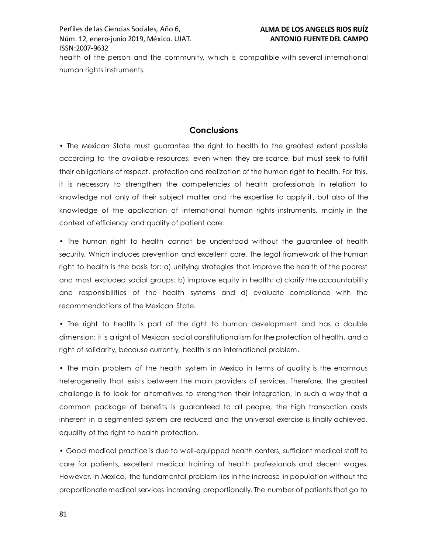# **Conclusions**

• The Mexican State must guarantee the right to health to the greatest extent possible according to the available resources, even when they are scarce, but must seek to fulfill their obligations of respect, protection and realization of the human right to health. For this, it is necessary to strengthen the competencies of health professionals in relation to knowledge not only of their subject matter and the expertise to apply it, but also of the knowledge of the application of international human rights instruments, mainly in the context of efficiency and quality of patient care.

• The human right to health cannot be understood without the guarantee of health security. Which includes prevention and excellent care. The legal framework of the human right to health is the basis for: a) unifying strategies that improve the health of the poorest and most excluded social groups; b) improve equity in health; c) clarify the accountability and responsibilities of the health systems and d) evaluate compliance with the recommendations of the Mexican State.

• The right to health is part of the right to human development and has a double dimension: it is a right of Mexican social constitutionalism for the protection of health, and a right of solidarity, because currently, health is an international problem.

• The main problem of the health system in Mexico in terms of quality is the enormous heterogeneity that exists between the main providers of services. Therefore, the greatest challenge is to look for alternatives to strengthen their integration, in such a way that a common package of benefits is guaranteed to all people, the high transaction costs inherent in a segmented system are reduced and the universal exercise is finally achieved. equality of the right to health protection.

• Good medical practice is due to well-equipped health centers, sufficient medical staff to care for patients, excellent medical training of health professionals and decent wages. However, in Mexico, the fundamental problem lies in the increase in population without the proportionate medical services increasing proportionally. The number of patients that go to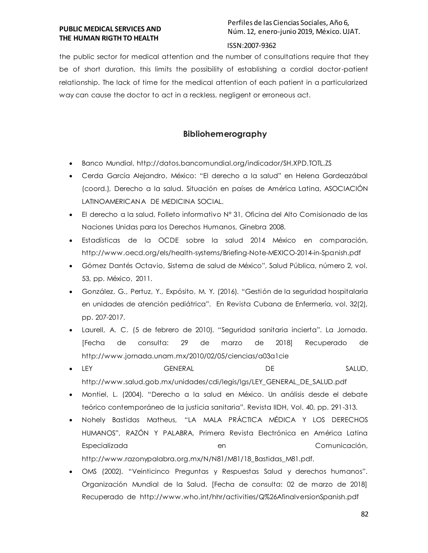# Perfiles de las Ciencias Sociales, Año 6, Núm. 12, enero-junio 2019, México. UJAT.

## ISSN:2007-9362

the public sector for medical attention and the number of consultations require that they be of short duration, this limits the possibility of establishing a cordial doctor-patient relationship. The lack of time for the medical attention of each patient in a particularized way can cause the doctor to act in a reckless, negligent or erroneous act.

# **Bibliohemerography**

- Banco Mundial, http://datos.bancomundial.org/indicador/SH.XPD.TOTL.ZS
- Cerda García Alejandro, México: "El derecho a la salud" en Helena Gardeazábal (coord.), Derecho a la salud. Situación en países de América Latina, ASOCIACIÓN LATINOAMERICANA DE MEDICINA SOCIAL.
- El derecho a la salud, Folleto informativo Nº 31, Oficina del Alto Comisionado de las Naciones Unidas para los Derechos Humanos, Ginebra 2008.
- Estadísticas de la OCDE sobre la salud 2014 México en comparación, http://www.oecd.org/els/health-systems/Briefing-Note-MEXICO-2014-in-Spanish.pdf
- Gómez Dantés Octavio, Sistema de salud de México", Salud Pública, número 2, vol. 53, pp. México, 2011.
- González, G., Pertuz, Y., Expósito, M. Y. (2016). "Gestión de la seguridad hospitalaria en unidades de atención pediátrica". En Revista Cubana de Enfermería, vol. 32(2), pp. 207-2017.
- Laurell, A. C. (5 de febrero de 2010). "Seguridad sanitaria incierta". La Jornada. [Fecha de consulta: 29 de marzo de 2018] Recuperado de http://www.jornada.unam.mx/2010/02/05/ciencias/a03a1cie
- LEY GENERAL DE SALUD, http://www.salud.gob.mx/unidades/cdi/legis/lgs/LEY\_GENERAL\_DE\_SALUD.pdf
- Montiel, L. (2004). "Derecho a la salud en México. Un análisis desde el debate teórico contemporáneo de la justicia sanitaria". Revista IIDH, Vol. 40, pp. 291-313.
- Nohely Bastidas Matheus, "LA MALA PRÁCTICA MÉDICA Y LOS DERECHOS HUMANOS", RAZÓN Y PALABRA, Primera Revista Electrónica en América Latina Especializada en en comunicación, http://www.razonypalabra.org.mx/N/N81/M81/18\_Bastidas\_M81.pdf.
- OMS (2002). "Veinticinco Preguntas y Respuestas Salud y derechos humanos". Organización Mundial de la Salud. [Fecha de consulta: 02 de marzo de 2018] Recuperado de http://www.who.int/hhr/activities/Q%26AfinalversionSpanish.pdf

82